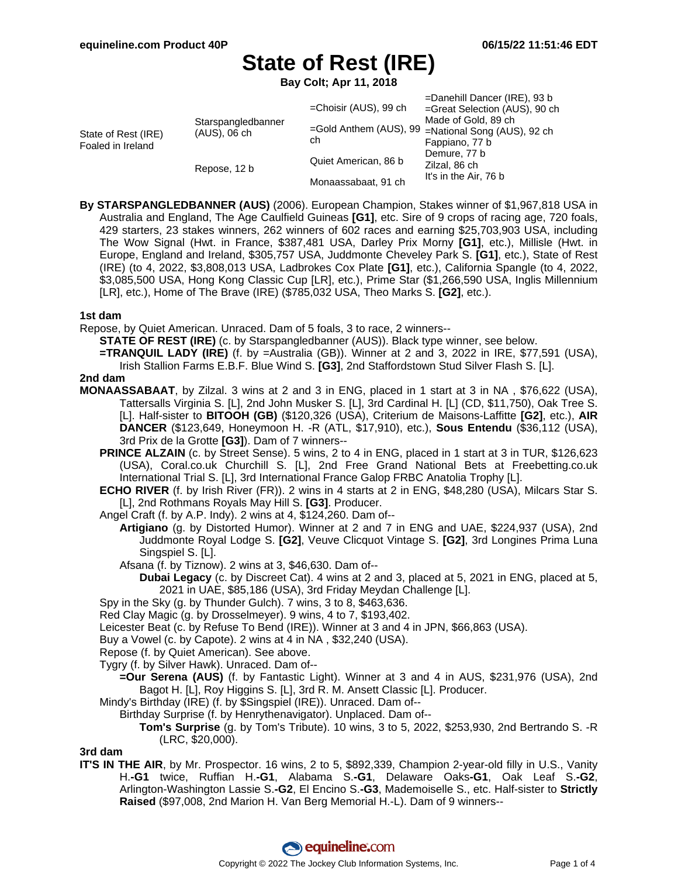=Danehill Dancer (IRE), 93 b

# **State of Rest (IRE)**

**Bay Colt; Apr 11, 2018**

| State of Rest (IRE)<br>Foaled in Ireland | Starspangledbanner<br>$(AUS)$ , 06 ch | =Choisir (AUS), 99 ch<br>ch                 | $=$ Danemii Dancer (IRE), 93 D<br>=Great Selection (AUS), 90 ch<br>Made of Gold, 89 ch<br>=Gold Anthem (AUS), 99 =National Song (AUS), 92 ch<br>Fappiano, 77 b |
|------------------------------------------|---------------------------------------|---------------------------------------------|----------------------------------------------------------------------------------------------------------------------------------------------------------------|
|                                          | Repose, 12 b                          | Quiet American, 86 b<br>Monaassabaat, 91 ch | Demure, 77 b<br>Zilzal, 86 ch<br>It's in the Air, 76 b                                                                                                         |

**By STARSPANGLEDBANNER (AUS)** (2006). European Champion, Stakes winner of \$1,967,818 USA in Australia and England, The Age Caulfield Guineas **[G1]**, etc. Sire of 9 crops of racing age, 720 foals, 429 starters, 23 stakes winners, 262 winners of 602 races and earning \$25,703,903 USA, including The Wow Signal (Hwt. in France, \$387,481 USA, Darley Prix Morny **[G1]**, etc.), Millisle (Hwt. in Europe, England and Ireland, \$305,757 USA, Juddmonte Cheveley Park S. **[G1]**, etc.), State of Rest (IRE) (to 4, 2022, \$3,808,013 USA, Ladbrokes Cox Plate **[G1]**, etc.), California Spangle (to 4, 2022, \$3,085,500 USA, Hong Kong Classic Cup [LR], etc.), Prime Star (\$1,266,590 USA, Inglis Millennium [LR], etc.), Home of The Brave (IRE) (\$785,032 USA, Theo Marks S. **[G2]**, etc.).

#### **1st dam**

Repose, by Quiet American. Unraced. Dam of 5 foals, 3 to race, 2 winners--

**STATE OF REST (IRE)** (c. by Starspangledbanner (AUS)). Black type winner, see below.

**=TRANQUIL LADY (IRE)** (f. by =Australia (GB)). Winner at 2 and 3, 2022 in IRE, \$77,591 (USA), Irish Stallion Farms E.B.F. Blue Wind S. **[G3]**, 2nd Staffordstown Stud Silver Flash S. [L].

#### **2nd dam**

**MONAASSABAAT**, by Zilzal. 3 wins at 2 and 3 in ENG, placed in 1 start at 3 in NA , \$76,622 (USA), Tattersalls Virginia S. [L], 2nd John Musker S. [L], 3rd Cardinal H. [L] (CD, \$11,750), Oak Tree S. [L]. Half-sister to **BITOOH (GB)** (\$120,326 (USA), Criterium de Maisons-Laffitte **[G2]**, etc.), **AIR DANCER** (\$123,649, Honeymoon H. -R (ATL, \$17,910), etc.), **Sous Entendu** (\$36,112 (USA), 3rd Prix de la Grotte **[G3]**). Dam of 7 winners--

- **PRINCE ALZAIN** (c. by Street Sense). 5 wins, 2 to 4 in ENG, placed in 1 start at 3 in TUR, \$126,623 (USA), Coral.co.uk Churchill S. [L], 2nd Free Grand National Bets at Freebetting.co.uk International Trial S. [L], 3rd International France Galop FRBC Anatolia Trophy [L].
- **ECHO RIVER** (f. by Irish River (FR)). 2 wins in 4 starts at 2 in ENG, \$48,280 (USA), Milcars Star S. [L], 2nd Rothmans Royals May Hill S. **[G3]**. Producer.

Angel Craft (f. by A.P. Indy). 2 wins at 4, \$124,260. Dam of--

**Artigiano** (g. by Distorted Humor). Winner at 2 and 7 in ENG and UAE, \$224,937 (USA), 2nd Juddmonte Royal Lodge S. **[G2]**, Veuve Clicquot Vintage S. **[G2]**, 3rd Longines Prima Luna Singspiel S. [L].

Afsana (f. by Tiznow). 2 wins at 3, \$46,630. Dam of--

**Dubai Legacy** (c. by Discreet Cat). 4 wins at 2 and 3, placed at 5, 2021 in ENG, placed at 5, 2021 in UAE, \$85,186 (USA), 3rd Friday Meydan Challenge [L].

Spy in the Sky (g. by Thunder Gulch). 7 wins, 3 to 8, \$463,636.

Red Clay Magic (g. by Drosselmeyer). 9 wins, 4 to 7, \$193,402.

Leicester Beat (c. by Refuse To Bend (IRE)). Winner at 3 and 4 in JPN, \$66,863 (USA).

Buy a Vowel (c. by Capote). 2 wins at 4 in NA , \$32,240 (USA).

Repose (f. by Quiet American). See above.

Tygry (f. by Silver Hawk). Unraced. Dam of--

**=Our Serena (AUS)** (f. by Fantastic Light). Winner at 3 and 4 in AUS, \$231,976 (USA), 2nd Bagot H. [L], Roy Higgins S. [L], 3rd R. M. Ansett Classic [L]. Producer.

Mindy's Birthday (IRE) (f. by \$Singspiel (IRE)). Unraced. Dam of--

Birthday Surprise (f. by Henrythenavigator). Unplaced. Dam of--

**Tom's Surprise** (g. by Tom's Tribute). 10 wins, 3 to 5, 2022, \$253,930, 2nd Bertrando S. -R (LRC, \$20,000).

**3rd dam**

**IT'S IN THE AIR**, by Mr. Prospector. 16 wins, 2 to 5, \$892,339, Champion 2-year-old filly in U.S., Vanity H.**-G1** twice, Ruffian H.**-G1**, Alabama S.**-G1**, Delaware Oaks**-G1**, Oak Leaf S.**-G2**, Arlington-Washington Lassie S.**-G2**, El Encino S.**-G3**, Mademoiselle S., etc. Half-sister to **Strictly Raised** (\$97,008, 2nd Marion H. Van Berg Memorial H.-L). Dam of 9 winners--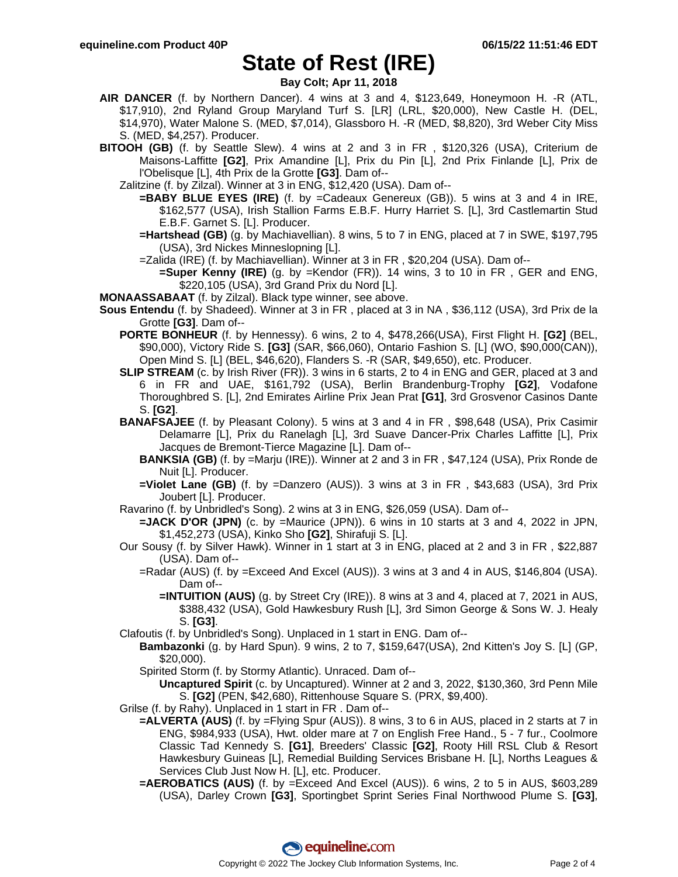## **State of Rest (IRE)**

**Bay Colt; Apr 11, 2018**

- **AIR DANCER** (f. by Northern Dancer). 4 wins at 3 and 4, \$123,649, Honeymoon H. -R (ATL, \$17,910), 2nd Ryland Group Maryland Turf S. [LR] (LRL, \$20,000), New Castle H. (DEL, \$14,970), Water Malone S. (MED, \$7,014), Glassboro H. -R (MED, \$8,820), 3rd Weber City Miss S. (MED, \$4,257). Producer.
- **BITOOH (GB)** (f. by Seattle Slew). 4 wins at 2 and 3 in FR , \$120,326 (USA), Criterium de Maisons-Laffitte **[G2]**, Prix Amandine [L], Prix du Pin [L], 2nd Prix Finlande [L], Prix de l'Obelisque [L], 4th Prix de la Grotte **[G3]**. Dam of--
	- Zalitzine (f. by Zilzal). Winner at 3 in ENG, \$12,420 (USA). Dam of--
		- **=BABY BLUE EYES (IRE)** (f. by =Cadeaux Genereux (GB)). 5 wins at 3 and 4 in IRE, \$162,577 (USA), Irish Stallion Farms E.B.F. Hurry Harriet S. [L], 3rd Castlemartin Stud E.B.F. Garnet S. [L]. Producer.
		- **=Hartshead (GB)** (g. by Machiavellian). 8 wins, 5 to 7 in ENG, placed at 7 in SWE, \$197,795 (USA), 3rd Nickes Minneslopning [L].
		- =Zalida (IRE) (f. by Machiavellian). Winner at 3 in FR , \$20,204 (USA). Dam of--
			- **=Super Kenny (IRE)** (g. by =Kendor (FR)). 14 wins, 3 to 10 in FR , GER and ENG, \$220,105 (USA), 3rd Grand Prix du Nord [L].
- **MONAASSABAAT** (f. by Zilzal). Black type winner, see above.
- **Sous Entendu** (f. by Shadeed). Winner at 3 in FR , placed at 3 in NA , \$36,112 (USA), 3rd Prix de la Grotte **[G3]**. Dam of--
	- **PORTE BONHEUR** (f. by Hennessy). 6 wins, 2 to 4, \$478,266(USA), First Flight H. **[G2]** (BEL, \$90,000), Victory Ride S. **[G3]** (SAR, \$66,060), Ontario Fashion S. [L] (WO, \$90,000(CAN)), Open Mind S. [L] (BEL, \$46,620), Flanders S. -R (SAR, \$49,650), etc. Producer.
	- **SLIP STREAM** (c. by Irish River (FR)). 3 wins in 6 starts, 2 to 4 in ENG and GER, placed at 3 and 6 in FR and UAE, \$161,792 (USA), Berlin Brandenburg-Trophy **[G2]**, Vodafone Thoroughbred S. [L], 2nd Emirates Airline Prix Jean Prat **[G1]**, 3rd Grosvenor Casinos Dante S. **[G2]**.
	- **BANAFSAJEE** (f. by Pleasant Colony). 5 wins at 3 and 4 in FR , \$98,648 (USA), Prix Casimir Delamarre [L], Prix du Ranelagh [L], 3rd Suave Dancer-Prix Charles Laffitte [L], Prix Jacques de Bremont-Tierce Magazine [L]. Dam of--
		- **BANKSIA (GB)** (f. by =Marju (IRE)). Winner at 2 and 3 in FR , \$47,124 (USA), Prix Ronde de Nuit [L]. Producer.
		- **=Violet Lane (GB)** (f. by =Danzero (AUS)). 3 wins at 3 in FR , \$43,683 (USA), 3rd Prix Joubert [L]. Producer.
	- Ravarino (f. by Unbridled's Song). 2 wins at 3 in ENG, \$26,059 (USA). Dam of--
		- **=JACK D'OR (JPN)** (c. by =Maurice (JPN)). 6 wins in 10 starts at 3 and 4, 2022 in JPN, \$1,452,273 (USA), Kinko Sho **[G2]**, Shirafuji S. [L].
	- Our Sousy (f. by Silver Hawk). Winner in 1 start at 3 in ENG, placed at 2 and 3 in FR , \$22,887 (USA). Dam of--
		- =Radar (AUS) (f. by =Exceed And Excel (AUS)). 3 wins at 3 and 4 in AUS, \$146,804 (USA). Dam of--
			- **=INTUITION (AUS)** (g. by Street Cry (IRE)). 8 wins at 3 and 4, placed at 7, 2021 in AUS, \$388,432 (USA), Gold Hawkesbury Rush [L], 3rd Simon George & Sons W. J. Healy S. **[G3]**.
	- Clafoutis (f. by Unbridled's Song). Unplaced in 1 start in ENG. Dam of--
		- **Bambazonki** (g. by Hard Spun). 9 wins, 2 to 7, \$159,647(USA), 2nd Kitten's Joy S. [L] (GP, \$20,000).
			- Spirited Storm (f. by Stormy Atlantic). Unraced. Dam of--

**Uncaptured Spirit** (c. by Uncaptured). Winner at 2 and 3, 2022, \$130,360, 3rd Penn Mile S. **[G2]** (PEN, \$42,680), Rittenhouse Square S. (PRX, \$9,400).

Grilse (f. by Rahy). Unplaced in 1 start in FR . Dam of--

- **=ALVERTA (AUS)** (f. by =Flying Spur (AUS)). 8 wins, 3 to 6 in AUS, placed in 2 starts at 7 in ENG, \$984,933 (USA), Hwt. older mare at 7 on English Free Hand., 5 - 7 fur., Coolmore Classic Tad Kennedy S. **[G1]**, Breeders' Classic **[G2]**, Rooty Hill RSL Club & Resort Hawkesbury Guineas [L], Remedial Building Services Brisbane H. [L], Norths Leagues & Services Club Just Now H. [L], etc. Producer.
- **=AEROBATICS (AUS)** (f. by =Exceed And Excel (AUS)). 6 wins, 2 to 5 in AUS, \$603,289 (USA), Darley Crown **[G3]**, Sportingbet Sprint Series Final Northwood Plume S. **[G3]**,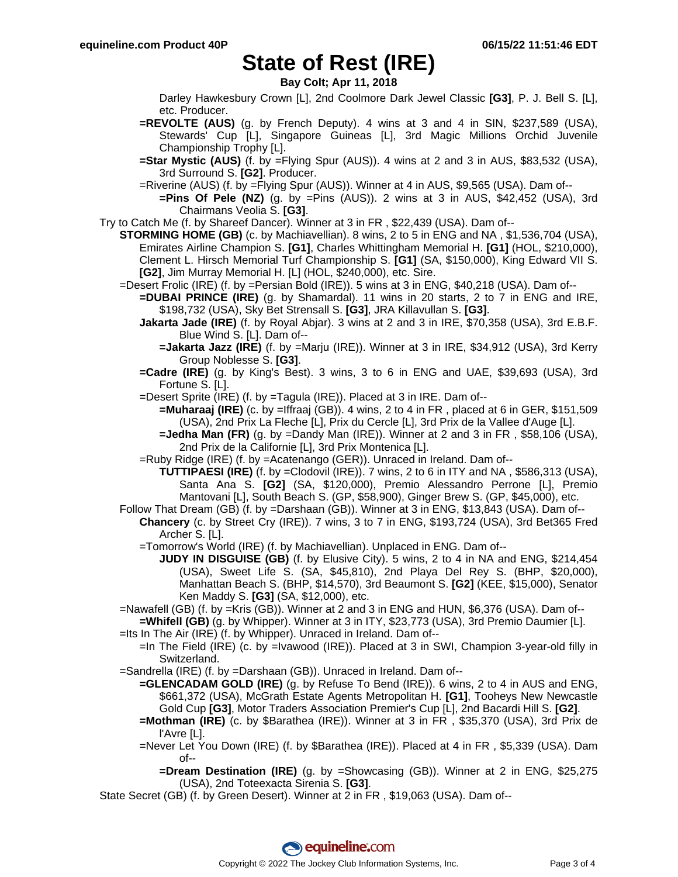## **State of Rest (IRE)**

**Bay Colt; Apr 11, 2018**

Darley Hawkesbury Crown [L], 2nd Coolmore Dark Jewel Classic **[G3]**, P. J. Bell S. [L], etc. Producer.

- **=REVOLTE (AUS)** (g. by French Deputy). 4 wins at 3 and 4 in SIN, \$237,589 (USA), Stewards' Cup [L], Singapore Guineas [L], 3rd Magic Millions Orchid Juvenile Championship Trophy [L].
- **=Star Mystic (AUS)** (f. by =Flying Spur (AUS)). 4 wins at 2 and 3 in AUS, \$83,532 (USA), 3rd Surround S. **[G2]**. Producer.
- =Riverine (AUS) (f. by =Flying Spur (AUS)). Winner at 4 in AUS, \$9,565 (USA). Dam of--
	- **=Pins Of Pele (NZ)** (g. by =Pins (AUS)). 2 wins at 3 in AUS, \$42,452 (USA), 3rd Chairmans Veolia S. **[G3]**.

Try to Catch Me (f. by Shareef Dancer). Winner at 3 in FR , \$22,439 (USA). Dam of--

- **STORMING HOME (GB)** (c. by Machiavellian). 8 wins, 2 to 5 in ENG and NA , \$1,536,704 (USA), Emirates Airline Champion S. **[G1]**, Charles Whittingham Memorial H. **[G1]** (HOL, \$210,000), Clement L. Hirsch Memorial Turf Championship S. **[G1]** (SA, \$150,000), King Edward VII S. **[G2]**, Jim Murray Memorial H. [L] (HOL, \$240,000), etc. Sire.
	- =Desert Frolic (IRE) (f. by =Persian Bold (IRE)). 5 wins at 3 in ENG, \$40,218 (USA). Dam of--
		- **=DUBAI PRINCE (IRE)** (g. by Shamardal). 11 wins in 20 starts, 2 to 7 in ENG and IRE, \$198,732 (USA), Sky Bet Strensall S. **[G3]**, JRA Killavullan S. **[G3]**.
		- **Jakarta Jade (IRE)** (f. by Royal Abjar). 3 wins at 2 and 3 in IRE, \$70,358 (USA), 3rd E.B.F. Blue Wind S. [L]. Dam of--
			- **=Jakarta Jazz (IRE)** (f. by =Marju (IRE)). Winner at 3 in IRE, \$34,912 (USA), 3rd Kerry Group Noblesse S. **[G3]**.
		- **=Cadre (IRE)** (g. by King's Best). 3 wins, 3 to 6 in ENG and UAE, \$39,693 (USA), 3rd Fortune S. [L].
		- =Desert Sprite (IRE) (f. by =Tagula (IRE)). Placed at 3 in IRE. Dam of--

**=Muharaaj (IRE)** (c. by =Iffraaj (GB)). 4 wins, 2 to 4 in FR , placed at 6 in GER, \$151,509 (USA), 2nd Prix La Fleche [L], Prix du Cercle [L], 3rd Prix de la Vallee d'Auge [L].

**=Jedha Man (FR)** (g. by =Dandy Man (IRE)). Winner at 2 and 3 in FR , \$58,106 (USA), 2nd Prix de la Californie [L], 3rd Prix Montenica [L].

=Ruby Ridge (IRE) (f. by =Acatenango (GER)). Unraced in Ireland. Dam of--

- **TUTTIPAESI (IRE)** (f. by =Clodovil (IRE)). 7 wins, 2 to 6 in ITY and NA , \$586,313 (USA), Santa Ana S. **[G2]** (SA, \$120,000), Premio Alessandro Perrone [L], Premio Mantovani [L], South Beach S. (GP, \$58,900), Ginger Brew S. (GP, \$45,000), etc.
- Follow That Dream (GB) (f. by =Darshaan (GB)). Winner at 3 in ENG, \$13,843 (USA). Dam of-- **Chancery** (c. by Street Cry (IRE)). 7 wins, 3 to 7 in ENG, \$193,724 (USA), 3rd Bet365 Fred Archer S. [L].
	- =Tomorrow's World (IRE) (f. by Machiavellian). Unplaced in ENG. Dam of--
		- **JUDY IN DISGUISE (GB)** (f. by Elusive City). 5 wins, 2 to 4 in NA and ENG, \$214,454 (USA), Sweet Life S. (SA, \$45,810), 2nd Playa Del Rey S. (BHP, \$20,000), Manhattan Beach S. (BHP, \$14,570), 3rd Beaumont S. **[G2]** (KEE, \$15,000), Senator Ken Maddy S. **[G3]** (SA, \$12,000), etc.
- =Nawafell (GB) (f. by =Kris (GB)). Winner at 2 and 3 in ENG and HUN, \$6,376 (USA). Dam of-- **=Whifell (GB)** (g. by Whipper). Winner at 3 in ITY, \$23,773 (USA), 3rd Premio Daumier [L].
- =Its In The Air (IRE) (f. by Whipper). Unraced in Ireland. Dam of--
	- =In The Field (IRE) (c. by =Ivawood (IRE)). Placed at 3 in SWI, Champion 3-year-old filly in Switzerland.
- =Sandrella (IRE) (f. by =Darshaan (GB)). Unraced in Ireland. Dam of--
	- **=GLENCADAM GOLD (IRE)** (g. by Refuse To Bend (IRE)). 6 wins, 2 to 4 in AUS and ENG, \$661,372 (USA), McGrath Estate Agents Metropolitan H. **[G1]**, Tooheys New Newcastle Gold Cup **[G3]**, Motor Traders Association Premier's Cup [L], 2nd Bacardi Hill S. **[G2]**.
	- **=Mothman (IRE)** (c. by \$Barathea (IRE)). Winner at 3 in FR , \$35,370 (USA), 3rd Prix de l'Avre [L].
	- =Never Let You Down (IRE) (f. by \$Barathea (IRE)). Placed at 4 in FR , \$5,339 (USA). Dam of--
		- **=Dream Destination (IRE)** (g. by =Showcasing (GB)). Winner at 2 in ENG, \$25,275 (USA), 2nd Toteexacta Sirenia S. **[G3]**.

State Secret (GB) (f. by Green Desert). Winner at 2 in FR , \$19,063 (USA). Dam of--